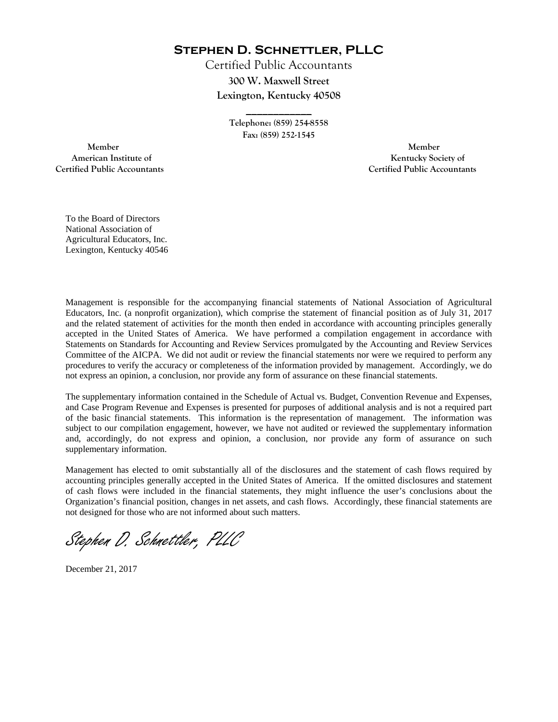**Stephen D. Schnettler, PLLC**

Certified Public Accountants **300 W. Maxwell Street Lexington, Kentucky 40508** 

> **Telephone: (859) 254-8558 Fax: (859) 252-1545**

**\_\_\_\_\_\_\_\_\_\_\_\_** 

 **Member Member Certified Public Accountants Certified Public Accountants** 

American Institute of **Kentucky Society of** 

To the Board of Directors National Association of Agricultural Educators, Inc. Lexington, Kentucky 40546

Management is responsible for the accompanying financial statements of National Association of Agricultural Educators, Inc. (a nonprofit organization), which comprise the statement of financial position as of July 31, 2017 and the related statement of activities for the month then ended in accordance with accounting principles generally accepted in the United States of America. We have performed a compilation engagement in accordance with Statements on Standards for Accounting and Review Services promulgated by the Accounting and Review Services Committee of the AICPA. We did not audit or review the financial statements nor were we required to perform any procedures to verify the accuracy or completeness of the information provided by management. Accordingly, we do not express an opinion, a conclusion, nor provide any form of assurance on these financial statements.

The supplementary information contained in the Schedule of Actual vs. Budget, Convention Revenue and Expenses, and Case Program Revenue and Expenses is presented for purposes of additional analysis and is not a required part of the basic financial statements. This information is the representation of management. The information was subject to our compilation engagement, however, we have not audited or reviewed the supplementary information and, accordingly, do not express and opinion, a conclusion, nor provide any form of assurance on such supplementary information.

Management has elected to omit substantially all of the disclosures and the statement of cash flows required by accounting principles generally accepted in the United States of America. If the omitted disclosures and statement of cash flows were included in the financial statements, they might influence the user's conclusions about the Organization's financial position, changes in net assets, and cash flows. Accordingly, these financial statements are not designed for those who are not informed about such matters.

Stephen D. Schnettler, PLLC

December 21, 2017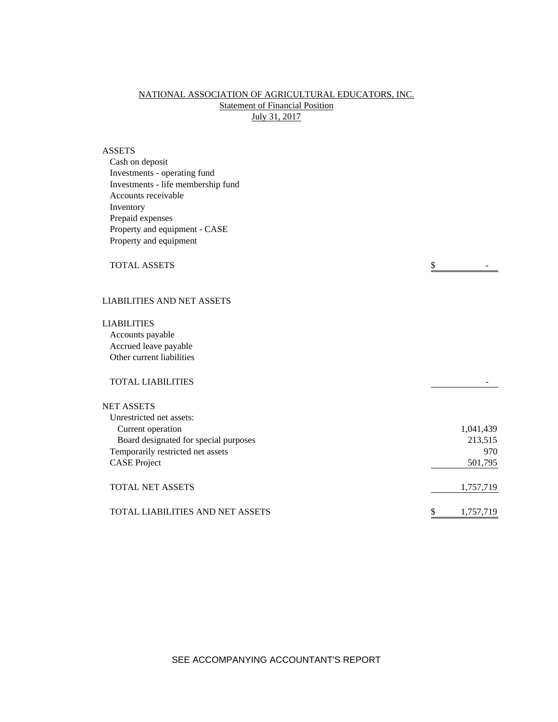## NATIONAL ASSOCIATION OF AGRICULTURAL EDUCATORS, INC. **Statement of Financial Position** July 31, 2017

# ASSETS

| Cash on deposit                    |           |
|------------------------------------|-----------|
| Investments - operating fund       |           |
| Investments - life membership fund |           |
| Accounts receivable                |           |
| Inventory                          |           |
| Prepaid expenses                   |           |
| Property and equipment - CASE      |           |
| Property and equipment             |           |
| <b>TOTAL ASSETS</b>                | \$        |
| <b>LIABILITIES AND NET ASSETS</b>  |           |
| <b>LIABILITIES</b>                 |           |
| Accounts payable                   |           |
| Accrued leave payable              |           |
| Other current liabilities          |           |
| <b>TOTAL LIABILITIES</b>           |           |
| <b>NET ASSETS</b>                  |           |
| Unrestricted net assets:           |           |
| Curront operation                  | 1.041.420 |

| UMUSURUU MU ASSUS.                    |           |
|---------------------------------------|-----------|
| Current operation                     | 1,041,439 |
| Board designated for special purposes | 213,515   |
| Temporarily restricted net assets     | 970       |
| <b>CASE</b> Project                   | 501,795   |
|                                       |           |
| <b>TOTAL NET ASSETS</b>               | 1,757,719 |
|                                       |           |
| TOTAL LIABILITIES AND NET ASSETS      | 1,757,719 |
|                                       |           |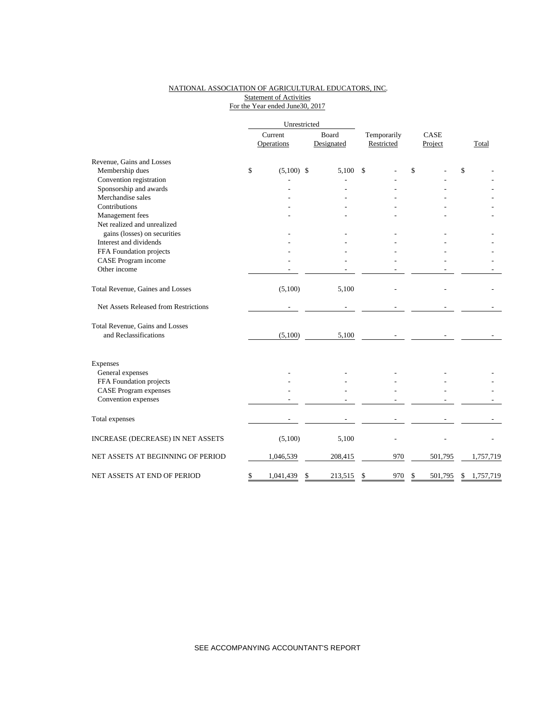#### NATIONAL ASSOCIATION OF AGRICULTURAL EDUCATORS, INC. Statement of Activities For the Year ended June30, 2017

|                                       | Unrestricted |                       |                     |         |                           |     |                 |         |       |           |
|---------------------------------------|--------------|-----------------------|---------------------|---------|---------------------------|-----|-----------------|---------|-------|-----------|
|                                       |              | Current<br>Operations | Board<br>Designated |         | Temporarily<br>Restricted |     | CASE<br>Project |         | Total |           |
| Revenue, Gains and Losses             |              |                       |                     |         |                           |     |                 |         |       |           |
| Membership dues                       | \$           | $(5,100)$ \$          |                     | 5.100   | $\mathbf{\hat{S}}$        |     | \$              |         | \$    |           |
| Convention registration               |              |                       |                     |         |                           |     |                 |         |       |           |
| Sponsorship and awards                |              |                       |                     |         |                           |     |                 |         |       |           |
| Merchandise sales                     |              |                       |                     |         |                           |     |                 |         |       |           |
| Contributions                         |              |                       |                     |         |                           |     |                 |         |       |           |
| Management fees                       |              |                       |                     |         |                           |     |                 |         |       |           |
| Net realized and unrealized           |              |                       |                     |         |                           |     |                 |         |       |           |
| gains (losses) on securities          |              |                       |                     |         |                           |     |                 |         |       |           |
| Interest and dividends                |              |                       |                     |         |                           |     |                 |         |       |           |
| FFA Foundation projects               |              |                       |                     |         |                           |     |                 |         |       |           |
| CASE Program income                   |              |                       |                     |         |                           |     |                 |         |       |           |
| Other income                          |              |                       |                     |         |                           |     |                 |         |       |           |
| Total Revenue, Gaines and Losses      |              | (5,100)               |                     | 5,100   |                           |     |                 |         |       |           |
| Net Assets Released from Restrictions |              |                       |                     |         |                           |     |                 |         |       |           |
| Total Revenue, Gains and Losses       |              |                       |                     |         |                           |     |                 |         |       |           |
| and Reclassifications                 |              | (5,100)               |                     | 5,100   |                           |     |                 |         |       |           |
| Expenses                              |              |                       |                     |         |                           |     |                 |         |       |           |
| General expenses                      |              |                       |                     |         |                           |     |                 |         |       |           |
| FFA Foundation projects               |              |                       |                     |         |                           |     |                 |         |       |           |
| <b>CASE Program expenses</b>          |              |                       |                     |         |                           |     |                 |         |       |           |
| Convention expenses                   |              |                       |                     |         |                           |     |                 |         |       |           |
| Total expenses                        |              |                       |                     |         |                           |     |                 |         |       |           |
| INCREASE (DECREASE) IN NET ASSETS     |              | (5,100)               |                     | 5,100   |                           |     |                 |         |       |           |
| NET ASSETS AT BEGINNING OF PERIOD     |              | 1,046,539             |                     | 208,415 |                           | 970 |                 | 501,795 |       | 1,757,719 |
| NET ASSETS AT END OF PERIOD           | \$           | 1,041,439             | \$                  | 213,515 | \$                        | 970 | \$              | 501,795 | \$    | 1,757,719 |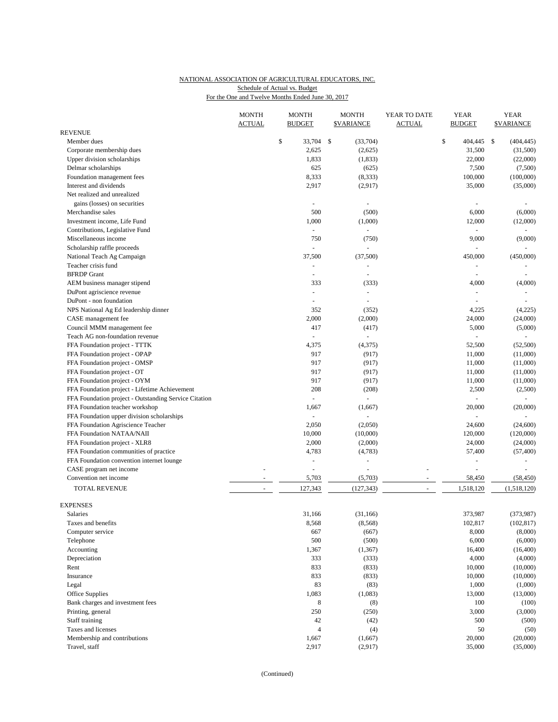## NATIONAL ASSOCIATION OF AGRICULTURAL EDUCATORS, INC. For the One and Twelve Months Ended June 30, 2017 Schedule of Actual vs. Budget

|                                                             | <b>MONTH</b><br><b>ACTUAL</b> | <b>MONTH</b><br><b>BUDGET</b> | <b>MONTH</b><br><b>\$VARIANCE</b> | YEAR TO DATE<br><b>ACTUAL</b> | <b>YEAR</b><br><b>BUDGET</b> | <b>YEAR</b><br><b><i>SVARIANCE</i></b> |
|-------------------------------------------------------------|-------------------------------|-------------------------------|-----------------------------------|-------------------------------|------------------------------|----------------------------------------|
| <b>REVENUE</b>                                              |                               |                               |                                   |                               |                              |                                        |
| Member dues                                                 |                               | \$<br>33,704                  | \$<br>(33,704)                    |                               | \$<br>404,445                | \$<br>(404, 445)                       |
| Corporate membership dues                                   |                               | 2,625                         | (2,625)                           |                               | 31,500                       | (31,500)                               |
| Upper division scholarships                                 |                               | 1,833                         | (1,833)                           |                               | 22,000                       | (22,000)                               |
| Delmar scholarships                                         |                               | 625                           | (625)                             |                               | 7,500                        | (7,500)                                |
| Foundation management fees                                  |                               | 8,333                         | (8, 333)                          |                               | 100,000                      | (100,000)                              |
| Interest and dividends                                      |                               | 2,917                         | (2,917)                           |                               | 35,000                       | (35,000)                               |
| Net realized and unrealized<br>gains (losses) on securities |                               |                               | ÷,                                |                               | ÷,                           |                                        |
| Merchandise sales                                           |                               | 500                           | (500)                             |                               | 6,000                        | (6,000)                                |
| Investment income, Life Fund                                |                               | 1,000                         | (1,000)                           |                               | 12,000                       | (12,000)                               |
| Contributions, Legislative Fund                             |                               | ÷                             | ÷.                                |                               | ä,                           | $\overline{a}$                         |
| Miscellaneous income                                        |                               | 750                           | (750)                             |                               | 9,000                        | (9,000)                                |
| Scholarship raffle proceeds                                 |                               |                               |                                   |                               |                              |                                        |
| National Teach Ag Campaign                                  |                               | 37,500                        | (37,500)                          |                               | 450,000                      | (450,000)                              |
| Teacher crisis fund                                         |                               | $\sim$                        | ÷,                                |                               | $\blacksquare$               |                                        |
| <b>BFRDP</b> Grant                                          |                               |                               |                                   |                               |                              |                                        |
| AEM business manager stipend                                |                               | 333                           | (333)                             |                               | 4,000                        | (4,000)                                |
| DuPont agriscience revenue                                  |                               | ÷,                            | ÷,                                |                               | $\blacksquare$               | ä,                                     |
| DuPont - non foundation                                     |                               |                               | $\overline{a}$                    |                               | $\overline{a}$               |                                        |
| NPS National Ag Ed leadership dinner                        |                               | 352                           | (352)                             |                               | 4,225                        | (4,225)                                |
| CASE management fee                                         |                               | 2,000                         | (2,000)                           |                               | 24,000                       | (24,000)                               |
| Council MMM management fee                                  |                               | 417                           | (417)                             |                               | 5,000                        | (5,000)                                |
| Teach AG non-foundation revenue                             |                               |                               |                                   |                               |                              |                                        |
| FFA Foundation project - TTTK                               |                               | 4,375                         | (4,375)                           |                               | 52,500                       | (52,500)                               |
| FFA Foundation project - OPAP                               |                               | 917                           | (917)                             |                               | 11,000                       | (11,000)                               |
| FFA Foundation project - OMSP                               |                               | 917                           | (917)                             |                               | 11,000                       | (11,000)                               |
| FFA Foundation project - OT                                 |                               | 917                           | (917)                             |                               | 11,000                       | (11,000)                               |
| FFA Foundation project - OYM                                |                               | 917                           | (917)                             |                               | 11,000                       | (11,000)                               |
| FFA Foundation project - Lifetime Achievement               |                               | 208                           | (208)                             |                               | 2,500                        | (2,500)                                |
| FFA Foundation project - Outstanding Service Citation       |                               | $\omega$                      | ä,                                |                               | $\qquad \qquad \blacksquare$ |                                        |
| FFA Foundation teacher workshop                             |                               | 1,667                         | (1,667)                           |                               | 20,000                       | (20,000)                               |
| FFA Foundation upper division scholarships                  |                               | ÷                             | ä,                                |                               | L.                           | $\sim$                                 |
| FFA Foundation Agriscience Teacher                          |                               | 2,050                         | (2,050)                           |                               | 24,600                       | (24,600)                               |
| FFA Foundation NATAA/NAII                                   |                               | 10,000                        | (10,000)                          |                               | 120,000                      | (120,000)                              |
| FFA Foundation project - XLR8                               |                               | 2,000                         | (2,000)                           |                               | 24,000                       | (24,000)                               |
| FFA Foundation communities of practice                      |                               | 4,783                         | (4,783)                           |                               | 57,400                       | (57, 400)                              |
| FFA Foundation convention internet lounge                   |                               |                               |                                   |                               |                              | ä,                                     |
| CASE program net income                                     |                               | ÷,                            | ÷,                                |                               | L,                           |                                        |
| Convention net income                                       |                               | 5,703                         | (5,703)                           |                               | 58,450                       | (58, 450)                              |
| <b>TOTAL REVENUE</b>                                        | $\overline{\phantom{a}}$      | 127,343                       | (127, 343)                        | $\blacksquare$                | 1,518,120                    | (1,518,120)                            |
| <b>EXPENSES</b>                                             |                               |                               |                                   |                               |                              |                                        |
| Salaries                                                    |                               | 31,166                        | (31, 166)                         |                               | 373,987                      | (373,987)                              |
| Taxes and benefits                                          |                               | 8,568                         | (8, 568)                          |                               | 102,817                      | (102, 817)                             |
| Computer service                                            |                               | 667                           | (667)                             |                               | 8,000                        | (8,000)                                |
| Telephone                                                   |                               | 500                           | (500)                             |                               | 6,000                        | (6,000)                                |
| Accounting                                                  |                               | 1,367                         | (1, 367)                          |                               | 16,400                       | (16, 400)                              |
| Depreciation                                                |                               | 333                           | (333)                             |                               | 4,000                        | (4,000)                                |
| Rent                                                        |                               | 833                           | (833)                             |                               | 10,000                       | (10,000)                               |
| Insurance                                                   |                               | 833                           | (833)                             |                               | 10,000                       | (10,000)                               |
| Legal                                                       |                               | 83                            | (83)                              |                               | 1,000                        | (1,000)                                |
| Office Supplies                                             |                               | 1,083                         | (1,083)                           |                               | 13,000                       | (13,000)                               |
| Bank charges and investment fees                            |                               | 8                             | (8)                               |                               | 100                          | (100)                                  |
| Printing, general                                           |                               | 250                           | (250)                             |                               | 3,000                        | (3,000)                                |
| Staff training                                              |                               | 42                            | (42)                              |                               | 500                          | (500)                                  |
| Taxes and licenses                                          |                               | $\overline{4}$                | (4)                               |                               | 50                           | (50)                                   |
| Membership and contributions                                |                               | 1,667                         | (1,667)                           |                               | 20,000                       | (20,000)                               |
| Travel, staff                                               |                               | 2,917                         | (2,917)                           |                               | 35,000                       | (35,000)                               |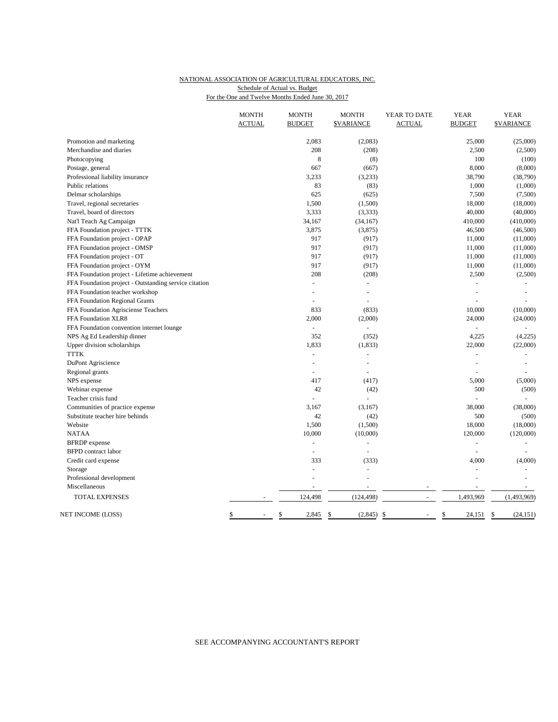## NATIONAL ASSOCIATION OF AGRICULTURAL EDUCATORS, INC. For the One and Twelve Months Ended June 30, 2017 Schedule of Actual vs. Budget

|                                                       | <b>MONTH</b><br><b>ACTUAL</b> | <b>MONTH</b><br><b>BUDGET</b> | <b>MONTH</b><br><b>\$VARIANCE</b> | YEAR TO DATE<br><b>ACTUAL</b> | <b>YEAR</b><br><b>BUDGET</b> | <b>YEAR</b><br><b><i>SVARIANCE</i></b> |
|-------------------------------------------------------|-------------------------------|-------------------------------|-----------------------------------|-------------------------------|------------------------------|----------------------------------------|
|                                                       |                               |                               |                                   |                               |                              |                                        |
| Promotion and marketing                               |                               | 2,083                         | (2,083)                           |                               | 25,000                       | (25,000)                               |
| Merchandise and diaries                               |                               | 208                           | (208)                             |                               | 2,500                        | (2,500)                                |
| Photocopying                                          |                               | 8                             | (8)                               |                               | 100                          | (100)                                  |
| Postage, general                                      |                               | 667                           | (667)                             |                               | 8,000                        | (8,000)                                |
| Professional liability insurance                      |                               | 3,233                         | (3,233)                           |                               | 38,790                       | (38,790)                               |
| Public relations                                      |                               | 83                            | (83)                              |                               | 1,000                        | (1,000)                                |
| Delmar scholarships                                   |                               | 625                           | (625)                             |                               | 7,500                        | (7,500)                                |
| Travel, regional secretaries                          |                               | 1,500                         | (1,500)                           |                               | 18,000                       | (18,000)                               |
| Travel, board of directors                            |                               | 3,333                         | (3, 333)                          |                               | 40,000                       | (40,000)                               |
| Nat'l Teach Ag Campaign                               |                               | 34,167                        | (34, 167)                         |                               | 410,000                      | (410,000)                              |
| FFA Foundation project - TTTK                         |                               | 3,875                         | (3,875)                           |                               | 46,500                       | (46,500)                               |
| FFA Foundation project - OPAP                         |                               | 917                           | (917)                             |                               | 11,000                       | (11,000)                               |
| FFA Foundation project - OMSP                         |                               | 917                           | (917)                             |                               | 11,000                       | (11,000)                               |
| FFA Foundation project - OT                           |                               | 917                           | (917)                             |                               | 11,000                       | (11,000)                               |
| FFA Foundation project - OYM                          |                               | 917                           | (917)                             |                               | 11,000                       | (11,000)                               |
| FFA Foundation project - Lifetime achievement         |                               | 208                           | (208)                             |                               | 2,500                        | (2,500)                                |
| FFA Foundation project - Outstanding service citation |                               | $\equiv$                      | $\blacksquare$                    |                               |                              |                                        |
| FFA Foundation teacher workshop                       |                               | ÷,                            | $\overline{\phantom{a}}$          |                               | L,                           |                                        |
| FFA Foundation Regional Grants                        |                               |                               |                                   |                               |                              |                                        |
| FFA Foundation Agrisciense Teachers                   |                               | 833                           | (833)                             |                               | 10,000                       | (10,000)                               |
| FFA Foundation XLR8                                   |                               | 2,000                         | (2,000)                           |                               | 24,000                       | (24,000)                               |
| FFA Foundation convention internet lounge             |                               | $\qquad \qquad \blacksquare$  |                                   |                               |                              |                                        |
| NPS Ag Ed Leadership dinner                           |                               | 352                           | (352)                             |                               | 4,225                        | (4,225)                                |
| Upper division scholarships                           |                               | 1,833                         | (1, 833)                          |                               | 22,000                       | (22,000)                               |
| <b>TTTK</b>                                           |                               | L,                            |                                   |                               |                              |                                        |
| DuPont Agriscience                                    |                               | ÷,                            |                                   |                               | L,                           |                                        |
| Regional grants                                       |                               | $\overline{a}$                |                                   |                               |                              |                                        |
| NPS expense                                           |                               | 417                           | (417)                             |                               | 5,000                        | (5,000)                                |
| Webinar expense                                       |                               | 42                            | (42)                              |                               | 500                          | (500)                                  |
| Teacher crisis fund                                   |                               |                               |                                   |                               |                              |                                        |
| Communities of practice expense                       |                               | 3,167                         | (3,167)                           |                               | 38,000                       | (38,000)                               |
| Substitute teacher hire behinds                       |                               | 42                            | (42)                              |                               | 500                          | (500)                                  |
| Website                                               |                               | 1,500                         | (1,500)                           |                               | 18,000                       | (18,000)                               |
| <b>NATAA</b>                                          |                               | 10,000                        | (10,000)                          |                               | 120,000                      | (120,000)                              |
| <b>BFRDP</b> expense                                  |                               |                               |                                   |                               |                              |                                        |
| <b>BFPD</b> contract labor                            |                               | $\blacksquare$                | $\blacksquare$                    |                               | ÷,                           | $\sim$                                 |
| Credit card expense                                   |                               | 333                           | (333)                             |                               | 4,000                        | (4,000)                                |
| Storage                                               |                               | $\overline{a}$                | $\blacksquare$                    |                               | ÷,                           |                                        |
| Professional development                              |                               | ÷,                            | $\blacksquare$                    |                               | L,                           |                                        |
| Miscellaneous                                         |                               |                               |                                   |                               |                              |                                        |
| TOTAL EXPENSES                                        |                               | 124,498                       | (124, 498)                        |                               | 1,493,969                    | (1,493,969)                            |
| NET INCOME (LOSS)                                     | \$                            | \$<br>2,845                   | \$<br>$(2,845)$ \$                | $\overline{a}$                | \$<br>$24,151$ \$            | (24, 151)                              |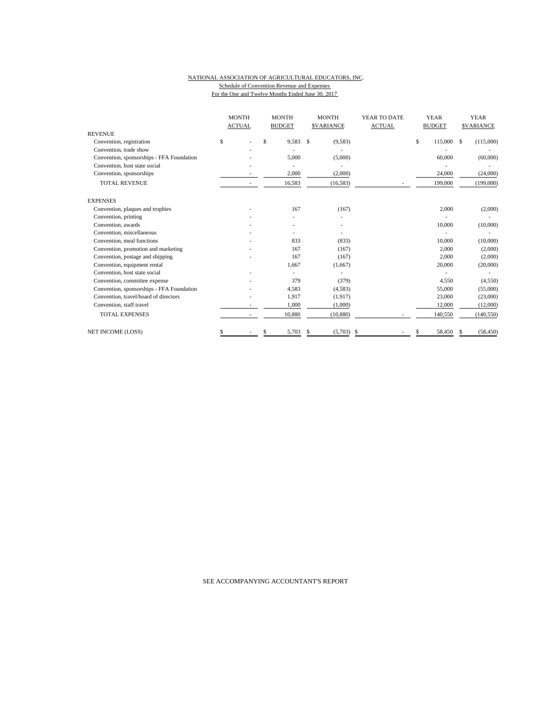#### NATIONAL ASSOCIATION OF AGRICULTURAL EDUCATORS, INC. Schedule of Convention Revenue and Expenses For the One and Twelve Months Ended June 30, 2017

|                                           | <b>MONTH</b><br><b>ACTUAL</b> | <b>MONTH</b><br><b>BUDGET</b> |              | <b>MONTH</b><br><b>SVARIANCE</b> | YEAR TO DATE<br><b>ACTUAL</b> |    | <b>YEAR</b><br><b>BUDGET</b> |   | <b>YEAR</b><br><b>SVARIANCE</b> |
|-------------------------------------------|-------------------------------|-------------------------------|--------------|----------------------------------|-------------------------------|----|------------------------------|---|---------------------------------|
| <b>REVENUE</b>                            |                               |                               |              |                                  |                               |    |                              |   |                                 |
| Convention, registration                  | \$                            | \$<br>9,583                   | $\mathbf{s}$ | (9,583)                          |                               | \$ | 115,000                      | S | (115,000)                       |
| Convention, trade show                    |                               |                               |              |                                  |                               |    |                              |   |                                 |
| Convention, sponsorships - FFA Foundation |                               | 5,000                         |              | (5,000)                          |                               |    | 60,000                       |   | (60,000)                        |
| Convention, host state social             |                               |                               |              |                                  |                               |    |                              |   |                                 |
| Convention, sponsorships                  |                               | 2,000                         |              | (2,000)                          |                               |    | 24,000                       |   | (24,000)                        |
| <b>TOTAL REVENUE</b>                      |                               | 16,583                        |              | (16, 583)                        |                               |    | 199,000                      |   | (199,000)                       |
| <b>EXPENSES</b>                           |                               |                               |              |                                  |                               |    |                              |   |                                 |
| Convention, plaques and trophies          |                               | 167                           |              | (167)                            |                               |    | 2,000                        |   | (2,000)                         |
| Convention, printing                      |                               |                               |              |                                  |                               |    |                              |   |                                 |
| Convention, awards                        |                               |                               |              |                                  |                               |    | 10,000                       |   | (10,000)                        |
| Convention, miscellaneous                 |                               |                               |              |                                  |                               |    |                              |   |                                 |
| Convention, meal functions                |                               | 833                           |              | (833)                            |                               |    | 10,000                       |   | (10,000)                        |
| Convention, promotion and marketing       |                               | 167                           |              | (167)                            |                               |    | 2,000                        |   | (2,000)                         |
| Convention, postage and shipping          |                               | 167                           |              | (167)                            |                               |    | 2,000                        |   | (2,000)                         |
| Convention, equipment rental              |                               | 1,667                         |              | (1,667)                          |                               |    | 20,000                       |   | (20,000)                        |
| Convention, host state social             |                               |                               |              |                                  |                               |    |                              |   |                                 |
| Convention, committee expense             |                               | 379                           |              | (379)                            |                               |    | 4,550                        |   | (4,550)                         |
| Convention, sponsorships - FFA Foundation |                               | 4,583                         |              | (4,583)                          |                               |    | 55,000                       |   | (55,000)                        |
| Convention, travel/board of directors     |                               | 1,917                         |              | (1,917)                          |                               |    | 23,000                       |   | (23,000)                        |
| Convention, staff travel                  |                               | 1.000                         |              | (1,000)                          |                               |    | 12,000                       |   | (12,000)                        |
| <b>TOTAL EXPENSES</b>                     |                               | 10,880                        |              | (10, 880)                        |                               |    | 140,550                      |   | (140, 550)                      |
| NET INCOME (LOSS)                         |                               | 5,703                         | \$           | $(5,703)$ \$                     |                               |    | 58,450                       | S | (58, 450)                       |